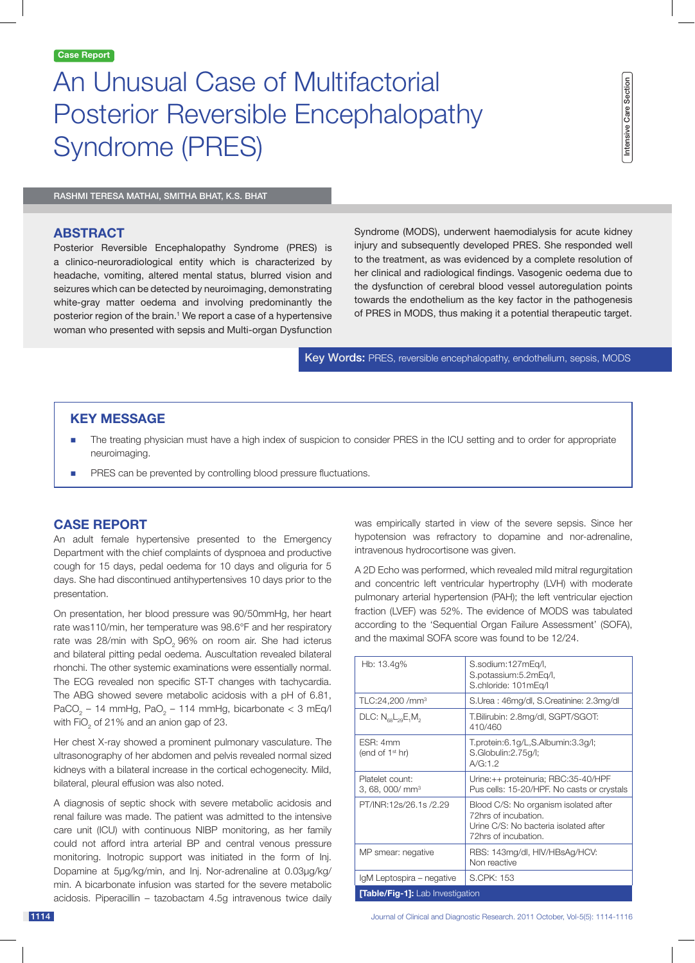# An Unusual Case of Multifactorial Posterior Reversible Encephalopathy Syndrome (PRES)

Rashmi Teresa Mathai, Smitha Bhat, K.S. Bhat

# **ABSTRACT**

Posterior Reversible Encephalopathy Syndrome (PRES) is a clinico-neuroradiological entity which is characterized by headache, vomiting, altered mental status, blurred vision and seizures which can be detected by neuroimaging, demonstrating white-gray matter oedema and involving predominantly the posterior region of the brain.<sup>1</sup> We report a case of a hypertensive woman who presented with sepsis and Multi-organ Dysfunction

Syndrome (MODS), underwent haemodialysis for acute kidney injury and subsequently developed PRES. She responded well to the treatment, as was evidenced by a complete resolution of her clinical and radiological findings. Vasogenic oedema due to the dysfunction of cerebral blood vessel autoregulation points towards the endothelium as the key factor in the pathogenesis of PRES in MODS, thus making it a potential therapeutic target.

Key Words: PRES, reversible encephalopathy, endothelium, sepsis, MODS

# **KEY MESSAGE**

- The treating physician must have a high index of suspicion to consider PRES in the ICU setting and to order for appropriate neuroimaging.
- PRES can be prevented by controlling blood pressure fluctuations.

# **Case Report**

An adult female hypertensive presented to the Emergency Department with the chief complaints of dyspnoea and productive cough for 15 days, pedal oedema for 10 days and oliguria for 5 days. She had discontinued antihypertensives 10 days prior to the presentation.

On presentation, her blood pressure was 90/50mmHg, her heart rate was110/min, her temperature was 98.6°F and her respiratory rate was 28/min with  $SpO<sub>2</sub>$  96% on room air. She had icterus and bilateral pitting pedal oedema. Auscultation revealed bilateral rhonchi. The other systemic examinations were essentially normal. The ECG revealed non specific ST-T changes with tachycardia. The ABG showed severe metabolic acidosis with a pH of 6.81, PaCO<sub>2</sub> – 14 mmHg, PaO<sub>2</sub> – 114 mmHg, bicarbonate < 3 mEq/l with FiO<sub>2</sub> of 21% and an anion gap of 23.

Her chest X-ray showed a prominent pulmonary vasculature. The ultrasonography of her abdomen and pelvis revealed normal sized kidneys with a bilateral increase in the cortical echogenecity. Mild, bilateral, pleural effusion was also noted.

A diagnosis of septic shock with severe metabolic acidosis and renal failure was made. The patient was admitted to the intensive care unit (ICU) with continuous NIBP monitoring, as her family could not afford intra arterial BP and central venous pressure monitoring. Inotropic support was initiated in the form of Inj. Dopamine at 5µg/kg/min, and Inj. Nor-adrenaline at 0.03µg/kg/ min. A bicarbonate infusion was started for the severe metabolic acidosis. Piperacillin – tazobactam 4.5g intravenous twice daily was empirically started in view of the severe sepsis. Since her hypotension was refractory to dopamine and nor-adrenaline, intravenous hydrocortisone was given.

A 2D Echo was performed, which revealed mild mitral regurgitation and concentric left ventricular hypertrophy (LVH) with moderate pulmonary arterial hypertension (PAH); the left ventricular ejection fraction (LVEF) was 52%. The evidence of MODS was tabulated according to the 'Sequential Organ Failure Assessment' (SOFA), and the maximal SOFA score was found to be 12/24.

| Hb: 13.4g%                                                | S.sodium:127mEq/l,<br>S.potassium:5.2mEq/l,<br>S.chloride: 101mEq/l                                                            |
|-----------------------------------------------------------|--------------------------------------------------------------------------------------------------------------------------------|
| TLC:24,200 /mm <sup>3</sup>                               | S.Urea: 46mg/dl, S.Creatinine: 2.3mg/dl                                                                                        |
| $DLC: N_{\text{es}}L_{\text{20}}E_{\text{1}}M_{\text{2}}$ | T.Bilirubin: 2.8mg/dl, SGPT/SGOT:<br>410/460                                                                                   |
| FSR: 4mm<br>(end of $1st$ hr)                             | T.protein:6.1g/L,S.Albumin:3.3g/l;<br>S.Globulin:2.75g/l;<br>A/G:1.2                                                           |
| Platelet count:<br>3, 68, 000/ mm <sup>3</sup>            | Urine:++ proteinuria; RBC:35-40/HPF<br>Pus cells: 15-20/HPF. No casts or crystals                                              |
| PT/INR:12s/26.1s/2.29                                     | Blood C/S: No organism isolated after<br>72hrs of incubation.<br>Urine C/S: No bacteria isolated after<br>72hrs of incubation. |
| MP smear: negative                                        | RBS: 143mg/dl, HIV/HBsAg/HCV:<br>Non reactive                                                                                  |
| IgM Leptospira – negative                                 | S.CPK: 153                                                                                                                     |
| <b>[Table/Fig-1]:</b> Lab Investigation                   |                                                                                                                                |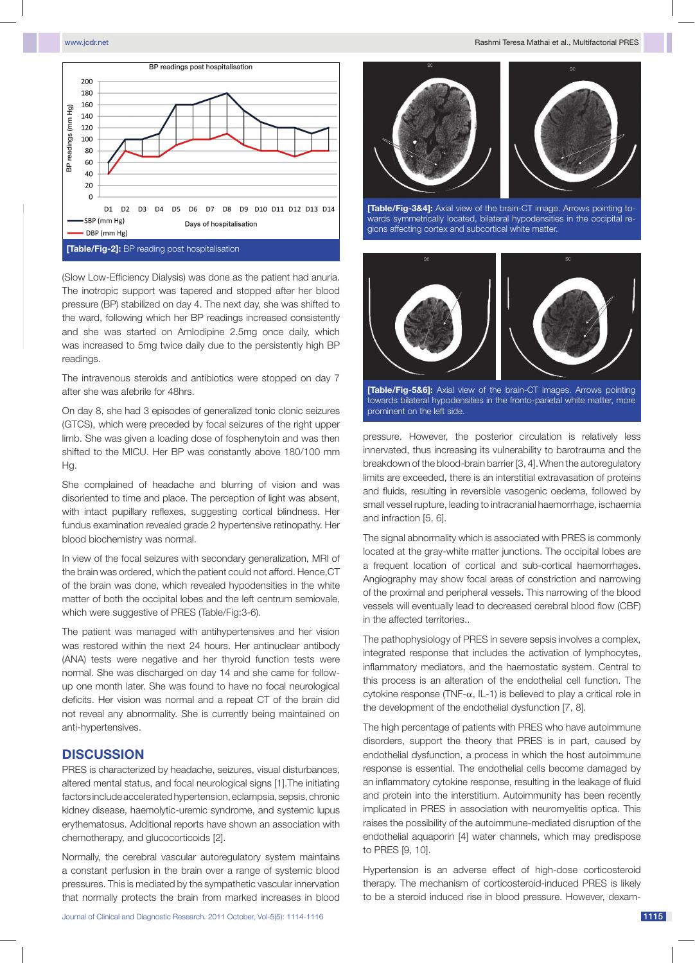

(Slow Low-Efficiency Dialysis) was done as the patient had anuria. The inotropic support was tapered and stopped after her blood pressure (BP) stabilized on day 4. The next day, she was shifted to the ward, following which her BP readings increased consistently and she was started on Amlodipine 2.5mg once daily, which was increased to 5mg twice daily due to the persistently high BP readings.

The intravenous steroids and antibiotics were stopped on day 7 after she was afebrile for 48hrs.

On day 8, she had 3 episodes of generalized tonic clonic seizures (GTCS), which were preceded by focal seizures of the right upper limb. She was given a loading dose of fosphenytoin and was then shifted to the MICU. Her BP was constantly above 180/100 mm Hg.

She complained of headache and blurring of vision and was disoriented to time and place. The perception of light was absent, with intact pupillary reflexes, suggesting cortical blindness. Her fundus examination revealed grade 2 hypertensive retinopathy. Her blood biochemistry was normal.

In view of the focal seizures with secondary generalization, MRI of the brain was ordered, which the patient could not afford. Hence,CT of the brain was done, which revealed hypodensities in the white matter of both the occipital lobes and the left centrum semiovale, which were suggestive of PRES (Table/Fig:3-6).

The patient was managed with antihypertensives and her vision was restored within the next 24 hours. Her antinuclear antibody (ANA) tests were negative and her thyroid function tests were normal. She was discharged on day 14 and she came for followup one month later. She was found to have no focal neurological deficits. Her vision was normal and a repeat CT of the brain did not reveal any abnormality. She is currently being maintained on anti-hypertensives.

## **Discussion**

PRES is characterized by headache, seizures, visual disturbances, altered mental status, and focal neurological signs [1].The initiating factors include accelerated hypertension, eclampsia, sepsis, chronic kidney disease, haemolytic-uremic syndrome, and systemic lupus erythematosus. Additional reports have shown an association with chemotherapy, and glucocorticoids [2].

Normally, the cerebral vascular autoregulatory system maintains a constant perfusion in the brain over a range of systemic blood pressures. This is mediated by the sympathetic vascular innervation that normally protects the brain from marked increases in blood



**[Table/Fig-3&4]:** Axial view of the brain-CT image. Arrows pointing towards symmetrically located, bilateral hypodensities in the occipital regions affecting cortex and subcortical white matter.



**[Table/Fig-5&6]:** Axial view of the brain-CT images. Arrows pointing towards bilateral hypodensities in the fronto-parietal white matter, more prominent on the left side.

pressure. However, the posterior circulation is relatively less innervated, thus increasing its vulnerability to barotrauma and the breakdown of the blood-brain barrier [3, 4].When the autoregulatory limits are exceeded, there is an interstitial extravasation of proteins and fluids, resulting in reversible vasogenic oedema, followed by small vessel rupture, leading to intracranial haemorrhage, ischaemia and infraction [5, 6].

The signal abnormality which is associated with PRES is commonly located at the gray-white matter junctions. The occipital lobes are a frequent location of cortical and sub-cortical haemorrhages. Angiography may show focal areas of constriction and narrowing of the proximal and peripheral vessels. This narrowing of the blood vessels will eventually lead to decreased cerebral blood flow (CBF) in the affected territories..

The pathophysiology of PRES in severe sepsis involves a complex, integrated response that includes the activation of lymphocytes, inflammatory mediators, and the haemostatic system. Central to this process is an alteration of the endothelial cell function. The cytokine response (TNF- $\alpha$ , IL-1) is believed to play a critical role in the development of the endothelial dysfunction [7, 8].

The high percentage of patients with PRES who have autoimmune disorders, support the theory that PRES is in part, caused by endothelial dysfunction, a process in which the host autoimmune response is essential. The endothelial cells become damaged by an inflammatory cytokine response, resulting in the leakage of fluid and protein into the interstitium. Autoimmunity has been recently implicated in PRES in association with neuromyelitis optica. This raises the possibility of the autoimmune-mediated disruption of the endothelial aquaporin [4] water channels, which may predispose to PRES [9, 10].

Hypertension is an adverse effect of high-dose corticosteroid therapy. The mechanism of corticosteroid-induced PRES is likely to be a steroid induced rise in blood pressure. However, dexam